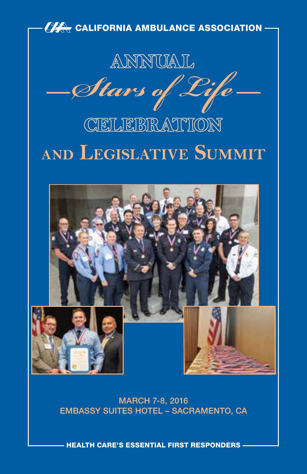

MARCH 7-8, 2016 EMBASSY SUITES HOTEL – SACRAMENTO, CA

HEALTH CARE'S ESSENTIAL FIRST RESPONDERS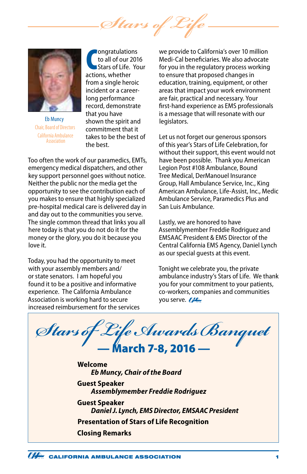*Stars of Life*



Eb Muncy Chair, Board of Directors California Ambulance Association

**COMPONTIFY COMPONENT CONTROVERENCE CONTROLLET CONTROLLET CONTROLLET CONTROLLET CONTROLLET CONTROLLET CONTROLLET CONTROLLET CONTROLLET CONTROLLET CONTROLLET CONTROLLET CONTROLLET CONTROLLET CONTROLLET CONTROLLET CONTROLLET** ongratulations to all of our 2016 Stars of Life. Your from a single heroic incident or a careerlong performance record, demonstrate that you have shown the spirit and commitment that it takes to be the best of the best.

Too often the work of our paramedics, EMTs, emergency medical dispatchers, and other key support personnel goes without notice. Neither the public nor the media get the opportunity to see the contribution each of you makes to ensure that highly specialized pre-hospital medical care is delivered day in and day out to the communities you serve. The single common thread that links you all here today is that you do not do it for the money or the glory, you do it because you love it.

Today, you had the opportunity to meet with your assembly members and/ or state senators. I am hopeful you found it to be a positive and informative experience. The California Ambulance Association is working hard to secure increased reimbursement for the services

we provide to California's over 10 million Medi-Cal beneficiaries. We also advocate for you in the regulatory process working to ensure that proposed changes in education, training, equipment, or other areas that impact your work environment are fair, practical and necessary. Your first-hand experience as EMS professionals is a message that will resonate with our legislators.

Let us not forget our generous sponsors of this year's Stars of Life Celebration, for without their support, this event would not have been possible. Thank you American Legion Post #108 Ambulance, Bound Tree Medical, DerManouel Insurance Group, Hall Ambulance Service, Inc., King American Ambulance, Life-Assist, Inc., Medic Ambulance Service, Paramedics Plus and San Luis Ambulance.

Lastly, we are honored to have Assemblymember Freddie Rodriguez and EMSAAC President & EMS Director of the Central California EMS Agency, Daniel Lynch as our special guests at this event.

Tonight we celebrate you, the private ambulance industry's Stars of Life. We thank you for your commitment to your patients, co-workers, companies and communities you serve. **THE** 

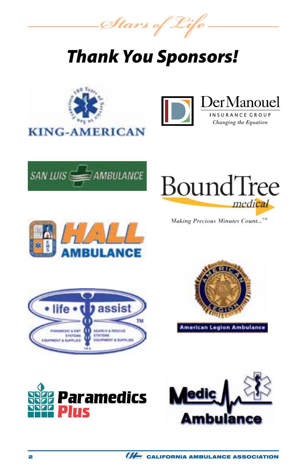*Stars of Life*

# *Thank You Sponsors!*

















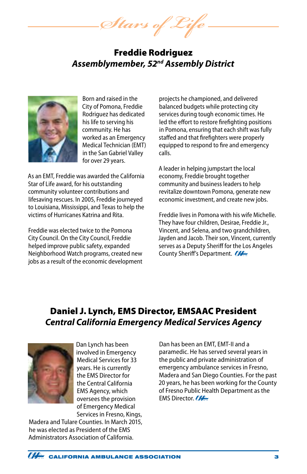*Stars of Life*

# Freddie Rodriguez *Assemblymember, 52nd Assembly District*



Born and raised in the City of Pomona, Freddie Rodriguez has dedicated his life to serving his community. He has worked as an Emergency Medical Technician (EMT) in the San Gabriel Valley for over 29 years.

As an EMT, Freddie was awarded the California Star of Life award, for his outstanding community volunteer contributions and lifesaving rescues. In 2005, Freddie journeyed to Louisiana, Mississippi, and Texas to help the victims of Hurricanes Katrina and Rita.

Freddie was elected twice to the Pomona City Council. On the City Council, Freddie helped improve public safety, expanded Neighborhood Watch programs, created new jobs as a result of the economic development

projects he championed, and delivered balanced budgets while protecting city services during tough economic times. He led the effort to restore firefighting positions in Pomona, ensuring that each shift was fully staffed and that firefighters were properly equipped to respond to fire and emergency calls.

A leader in helping jumpstart the local economy, Freddie brought together community and business leaders to help revitalize downtown Pomona, generate new economic investment, and create new jobs.

Freddie lives in Pomona with his wife Michelle. They have four children, Desirae, Freddie Jr., Vincent, and Selena, and two grandchildren, Jayden and Jacob. Their son, Vincent, currently serves as a Deputy Sheriff for the Los Angeles County Sheriff's Department.

# Daniel J. Lynch, EMS Director, EMSAAC President *Central California Emergency Medical Services Agency*



Dan Lynch has been involved in Emergency Medical Services for 33 years. He is currently the EMS Director for the Central California EMS Agency, which oversees the provision of Emergency Medical Services in Fresno, Kings,

Madera and Tulare Counties. In March 2015, he was elected as President of the EMS Administrators Association of California.

Dan has been an EMT, EMT-II and a paramedic. He has served several years in the public and private administration of emergency ambulance services in Fresno, Madera and San Diego Counties. For the past 20 years, he has been working for the County of Fresno Public Health Department as the EMS Director.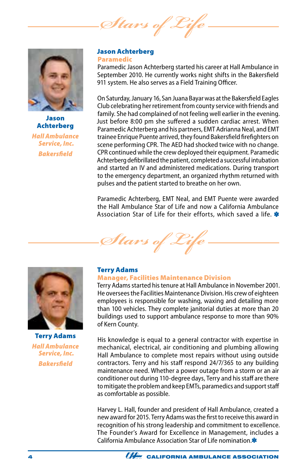*Stars of* 



Jason Achterberg *Hall Ambulance Service, Inc. Bakersfield*

#### Jason Achterberg Paramedic

Paramedic Jason Achterberg started his career at Hall Ambulance in September 2010. He currently works night shifts in the Bakersfield 911 system. He also serves as a Field Training Officer.

On Saturday, January 16, San Juana Bayar was at the Bakersfield Eagles Club celebrating her retirement from county service with friends and family. She had complained of not feeling well earlier in the evening. Just before 8:00 pm she suffered a sudden cardiac arrest. When Paramedic Achterberg and his partners, EMT Adrianna Neal, and EMT trainee Enrique Puente arrived, they found Bakersfield firefighters on scene performing CPR. The AED had shocked twice with no change. CPR continued while the crew deployed their equipment. Paramedic Achterberg defibrillated the patient, completed a successful intubation and started an IV and administered medications. During transport to the emergency department, an organized rhythm returned with pulses and the patient started to breathe on her own.

Paramedic Achterberg, EMT Neal, and EMT Puente were awarded the Hall Ambulance Star of Life and now a California Ambulance Association Star of Life for their efforts, which saved a life.





Terry Adams *Hall Ambulance Service, Inc. Bakersfield*

#### Terry Adams Manager, Facilities Maintenance Division

Terry Adams started his tenure at Hall Ambulance in November 2001. He oversees the Facilities Maintenance Division. His crew of eighteen employees is responsible for washing, waxing and detailing more than 100 vehicles. They complete janitorial duties at more than 20 buildings used to support ambulance response to more than 90% of Kern County.

His knowledge is equal to a general contractor with expertise in mechanical, electrical, air conditioning and plumbing allowing Hall Ambulance to complete most repairs without using outside contractors. Terry and his staff respond 24/7/365 to any building maintenance need. Whether a power outage from a storm or an air conditioner out during 110-degree days, Terry and his staff are there to mitigate the problem and keep EMTs, paramedics and support staff as comfortable as possible.

Harvey L. Hall, founder and president of Hall Ambulance, created a new award for 2015. Terry Adams was the first to receive this award in recognition of his strong leadership and commitment to excellence. The Founder's Award for Excellence in Management, includes a California Ambulance Association Star of Life nomination.

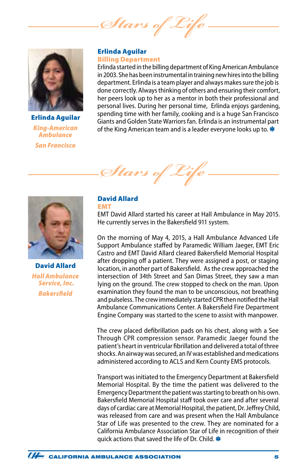Stars of



Erlinda Aguilar *King-American Ambulance San Francisco*

#### Erlinda Aguilar Billing Department

Erlinda started in the billing department of King American Ambulance in 2003. She has been instrumental in training new hires into the billing department. Erlinda is a team player and always makes sure the job is done correctly. Always thinking of others and ensuring their comfort, her peers look up to her as a mentor in both their professional and personal lives. During her personal time, Erlinda enjoys gardening, spending time with her family, cooking and is a huge San Francisco Giants and Golden State Warriors fan. Erlinda is an instrumental part of the King American team and is a leader everyone looks up to.  $*$ 





David Allard *Hall Ambulance Service, Inc. Bakersfield*

## David Allard

EMT EMT David Allard started his career at Hall Ambulance in May 2015. He currently serves in the Bakersfield 911 system.

On the morning of May 4, 2015, a Hall Ambulance Advanced Life Support Ambulance staffed by Paramedic William Jaeger, EMT Eric Castro and EMT David Allard cleared Bakersfield Memorial Hospital after dropping off a patient. They were assigned a post, or staging location, in another part of Bakersfield. As the crew approached the intersection of 34th Street and San Dimas Street, they saw a man lying on the ground. The crew stopped to check on the man. Upon examination they found the man to be unconscious, not breathing and pulseless. The crew immediately started CPR then notified the Hall Ambulance Communications Center. A Bakersfield Fire Department Engine Company was started to the scene to assist with manpower.

The crew placed defibrillation pads on his chest, along with a See Through CPR compression sensor. Paramedic Jaeger found the patient's heart in ventricular fibrillation and delivered a total of three shocks. An airway was secured, an IV was established and medications administered according to ACLS and Kern County EMS protocols.

Transport was initiated to the Emergency Department at Bakersfield Memorial Hospital. By the time the patient was delivered to the Emergency Department the patient was starting to breath on his own. Bakersfield Memorial Hospital staff took over care and after several days of cardiac care at Memorial Hospital, the patient, Dr. Jeffrey Child, was released from care and was present when the Hall Ambulance Star of Life was presented to the crew. They are nominated for a California Ambulance Association Star of Life in recognition of their quick actions that saved the life of Dr. Child.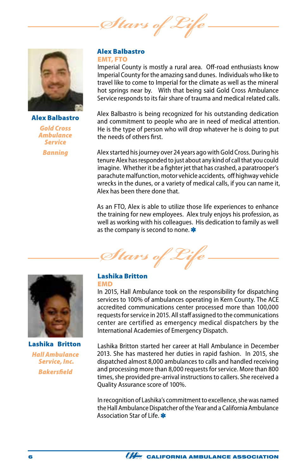Stars of



Alex Balbastro *Gold Cross Ambulance Service Banning*

#### Alex Balbastro EMT, FTO

Imperial County is mostly a rural area. Off-road enthusiasts know Imperial County for the amazing sand dunes. Individuals who like to travel like to come to Imperial for the climate as well as the mineral hot springs near by. With that being said Gold Cross Ambulance Service responds to its fair share of trauma and medical related calls.

Alex Balbastro is being recognized for his outstanding dedication and commitment to people who are in need of medical attention. He is the type of person who will drop whatever he is doing to put the needs of others first.

Alex started his journey over 24 years ago with Gold Cross. During his tenure Alex has responded to just about any kind of call that you could imagine. Whether it be a fighter jet that has crashed, a paratrooper's parachute malfunction, motor vehicle accidents, off highway vehicle wrecks in the dunes, or a variety of medical calls, if you can name it, Alex has been there done that.

As an FTO, Alex is able to utilize those life experiences to enhance the training for new employees. Alex truly enjoys his profession, as well as working with his colleagues. His dedication to family as well as the company is second to none.

*Stars of Life*



Lashika Britton *Hall Ambulance Service, Inc. Bakersfield*

#### Lashika Britton EMD

In 2015, Hall Ambulance took on the responsibility for dispatching services to 100% of ambulances operating in Kern County. The ACE accredited communications center processed more than 100,000 requests for service in 2015. All staff assigned to the communications center are certified as emergency medical dispatchers by the International Academies of Emergency Dispatch.

Lashika Britton started her career at Hall Ambulance in December 2013. She has mastered her duties in rapid fashion. In 2015, she dispatched almost 8,000 ambulances to calls and handled receiving and processing more than 8,000 requests for service. More than 800 times, she provided pre-arrival instructions to callers. She received a Quality Assurance score of 100%.

In recognition of Lashika's commitment to excellence, she was named the Hall Ambulance Dispatcher of the Year and a California Ambulance Association Star of Life.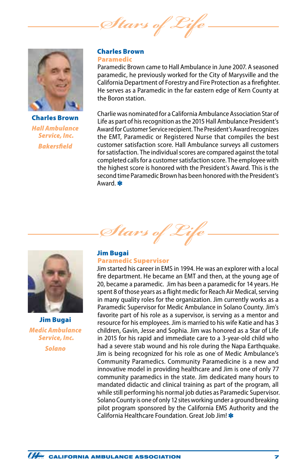*Stars of Life*



Charles Brown *Hall Ambulance Service, Inc. Bakersfield*

#### Charles Brown Paramedic

Paramedic Brown came to Hall Ambulance in June 2007. A seasoned paramedic, he previously worked for the City of Marysville and the California Department of Forestry and Fire Protection as a firefighter. He serves as a Paramedic in the far eastern edge of Kern County at the Boron station.

Charlie was nominated for a California Ambulance Association Star of Life as part of his recognition as the 2015 Hall Ambulance President's Award for Customer Service recipient. The President's Award recognizes the EMT, Paramedic or Registered Nurse that compiles the best customer satisfaction score. Hall Ambulance surveys all customers for satisfaction. The individual scores are compared against the total completed calls for a customer satisfaction score. The employee with the highest score is honored with the President's Award. This is the second time Paramedic Brown has been honored with the President's Award.



Jim Bugai *Medic Ambulance Service, Inc. Solano*

## Jim Bugai

*Stars of Life*

#### Paramedic Supervisor

Jim started his career in EMS in 1994. He was an explorer with a local fire department. He became an EMT and then, at the young age of 20, became a paramedic. Jim has been a paramedic for 14 years. He spent 8 of those years as a flight medic for Reach Air Medical, serving in many quality roles for the organization. Jim currently works as a Paramedic Supervisor for Medic Ambulance in Solano County. Jim's favorite part of his role as a supervisor, is serving as a mentor and resource for his employees. Jim is married to his wife Katie and has 3 children, Gavin, Jesse and Sophia. Jim was honored as a Star of Life in 2015 for his rapid and immediate care to a 3-year-old child who had a severe stab wound and his role during the Napa Earthquake. Jim is being recognized for his role as one of Medic Ambulance's Community Paramedics. Community Paramedicine is a new and innovative model in providing healthcare and Jim is one of only 77 community paramedics in the state. Jim dedicated many hours to mandated didactic and clinical training as part of the program, all while still performing his normal job duties as Paramedic Supervisor. Solano County is one of only 12 sites working under a ground breaking pilot program sponsored by the California EMS Authority and the California Healthcare Foundation. Great Job Jim! \*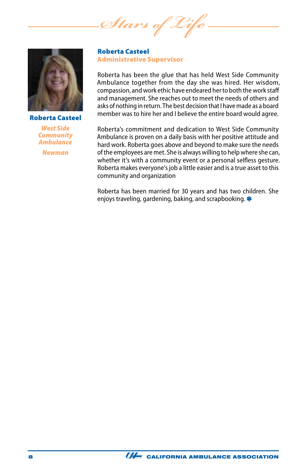*Stars of Life*



Roberta Casteel

*West Side Community Ambulance Newman*

Roberta Casteel Administrative Supervisor

Roberta has been the glue that has held West Side Community Ambulance together from the day she was hired. Her wisdom, compassion, and work ethic have endeared her to both the work staff and management. She reaches out to meet the needs of others and asks of nothing in return. The best decision that I have made as a board member was to hire her and I believe the entire board would agree.

Roberta's commitment and dedication to West Side Community Ambulance is proven on a daily basis with her positive attitude and hard work. Roberta goes above and beyond to make sure the needs of the employees are met. She is always willing to help where she can, whether it's with a community event or a personal selfless gesture. Roberta makes everyone's job a little easier and is a true asset to this community and organization

Roberta has been married for 30 years and has two children. She enjoys traveling, gardening, baking, and scrapbooking. \*

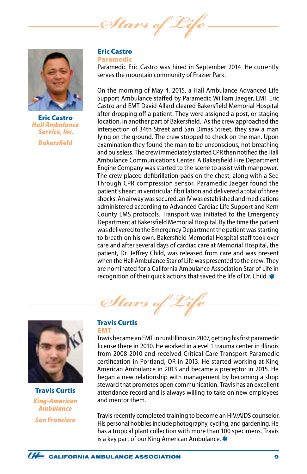Stars of <sub>L</sub>



Eric Castro *Hall Ambulance Service, Inc. Bakersfield*

#### Eric Castro Paramedic

Paramedic Eric Castro was hired in September 2014. He currently serves the mountain community of Frazier Park.

On the morning of May 4, 2015, a Hall Ambulance Advanced Life Support Ambulance staffed by Paramedic William Jaeger, EMT Eric Castro and EMT David Allard cleared Bakersfield Memorial Hospital after dropping off a patient. They were assigned a post, or staging location, in another part of Bakersfield. As the crew approached the intersection of 34th Street and San Dimas Street, they saw a man lying on the ground. The crew stopped to check on the man. Upon examination they found the man to be unconscious, not breathing and pulseless. The crew immediately started CPR then notified the Hall Ambulance Communications Center. A Bakersfield Fire Department Engine Company was started to the scene to assist with manpower. The crew placed defibrillation pads on the chest, along with a See Through CPR compression sensor. Paramedic Jaeger found the patient's heart in ventricular fibrillation and delivered a total of three shocks. An airway was secured, an IV was established and medications administered according to Advanced Cardiac Life Support and Kern County EMS protocols. Transport was initiated to the Emergency Department at Bakersfield Memorial Hospital. By the time the patient was delivered to the Emergency Department the patient was starting to breath on his own. Bakersfield Memorial Hospital staff took over care and after several days of cardiac care at Memorial Hospital, the patient, Dr. Jeffrey Child, was released from care and was present when the Hall Ambulance Star of Life was presented to the crew. They are nominated for a California Ambulance Association Star of Life in recognition of their quick actions that saved the life of Dr. Child.

Stars of 2



Travis Curtis *King-American Ambulance San Francisco*

#### Travis Curtis EMT

Travis became an EMT in rural Illinois in 2007, getting his first paramedic license there in 2010. He worked in a evel 1 trauma center in Illinois from 2008-2010 and received Critical Care Transport Paramedic certification in Portland, OR in 2013. He started working at King American Ambulance in 2013 and became a preceptor in 2015. He began a new relationship with management by becoming a shop steward that promotes open communication. Travis has an excellent attendance record and is always willing to take on new employees and mentor them.

Travis recently completed training to become an HIV/AIDS counselor. His personal hobbies include photography, cycling, and gardening. He has a tropical plant collection with more than 100 specimens. Travis is a key part of our King American Ambulance.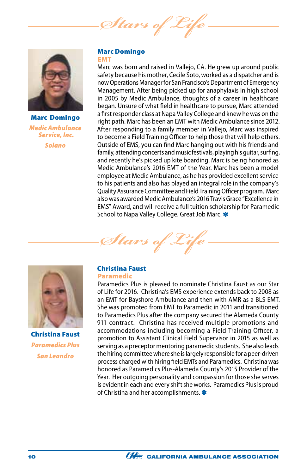Stars of



Marc Domingo *Medic Ambulance Service, Inc. Solano*

#### Marc Domingo EMT

Marc was born and raised in Vallejo, CA. He grew up around public safety because his mother, Cecile Soto, worked as a dispatcher and is now Operations Manager for San Francisco's Department of Emergency Management. After being picked up for anaphylaxis in high school in 2005 by Medic Ambulance, thoughts of a career in healthcare began. Unsure of what field in healthcare to pursue, Marc attended a first responder class at Napa Valley College and knew he was on the right path. Marc has been an EMT with Medic Ambulance since 2012. After responding to a family member in Vallejo, Marc was inspired to become a Field Training Officer to help those that will help others. Outside of EMS, you can find Marc hanging out with his friends and family, attending concerts and music festivals, playing his guitar, surfing, and recently he's picked up kite boarding. Marc is being honored as Medic Ambulance's 2016 EMT of the Year. Marc has been a model employee at Medic Ambulance, as he has provided excellent service to his patients and also has played an integral role in the company's Quality Assurance Committee and Field Training Officer program. Marc also was awarded Medic Ambulance's 2016 Travis Grace "Excellence in EMS" Award, and will receive a full tuition scholarship for Paramedic School to Napa Valley College. Great Job Marc!





Christina Faust *Paramedics Plus San Leandro*

## Christina Faust

#### Paramedic

Paramedics Plus is pleased to nominate Christina Faust as our Star of Life for 2016. Christina's EMS experience extends back to 2008 as an EMT for Bayshore Ambulance and then with AMR as a BLS EMT. She was promoted from EMT to Paramedic in 2011 and transitioned to Paramedics Plus after the company secured the Alameda County 911 contract. Christina has received multiple promotions and accommodations including becoming a Field Training Officer, a promotion to Assistant Clinical Field Supervisor in 2015 as well as serving as a preceptor mentoring paramedic students. She also leads the hiring committee where she is largely responsible for a peer-driven process charged with hiring field EMTs and Paramedics. Christina was honored as Paramedics Plus-Alameda County's 2015 Provider of the Year. Her outgoing personality and compassion for those she serves is evident in each and every shift she works. Paramedics Plus is proud of Christina and her accomplishments.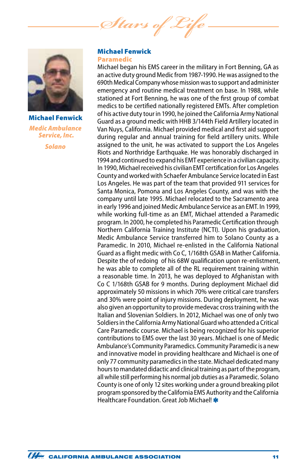*Stars of Life*



Michael Fenwick *Medic Ambulance Service, Inc. Solano*

#### Michael Fenwick Paramedic

Michael began his EMS career in the military in Fort Benning, GA as an active duty ground Medic from 1987-1990. He was assigned to the 690th Medical Company whose mission was to support and administer emergency and routine medical treatment on base. In 1988, while stationed at Fort Benning, he was one of the first group of combat medics to be certified nationally registered EMTs. After completion of his active duty tour in 1990, he joined the California Army National Guard as a ground medic with HHB 3/144th Field Artillery located in Van Nuys, California. Michael provided medical and first aid support during regular and annual training for field artillery units. While assigned to the unit, he was activated to support the Los Angeles Riots and Northridge Earthquake. He was honorably discharged in 1994 and continued to expand his EMT experience in a civilian capacity. In 1990, Michael received his civilian EMT certification for Los Angeles County and worked with Schaefer Ambulance Service located in East Los Angeles. He was part of the team that provided 911 services for Santa Monica, Pomona and Los Angeles County, and was with the company until late 1995. Michael relocated to the Sacramento area in early 1996 and joined Medic Ambulance Service as an EMT. In 1999, while working full-time as an EMT, Michael attended a Paramedic program. In 2000, he completed his Paramedic Certification through Northern California Training Institute (NCTI). Upon his graduation, Medic Ambulance Service transferred him to Solano County as a Paramedic. In 2010, Michael re-enlisted in the California National Guard as a flight medic with Co C, 1/168th GSAB in Mather California. Despite the of redoing of his 68W qualification upon re-enlistment, he was able to complete all of the RL requirement training within a reasonable time. In 2013, he was deployed to Afghanistan with Co C 1/168th GSAB for 9 months. During deployment Michael did approximately 50 missions in which 70% were critical care transfers and 30% were point of injury missions. During deployment, he was also given an opportunity to provide medevac cross training with the Italian and Slovenian Soldiers. In 2012, Michael was one of only two Soldiers in the California Army National Guard who attended a Critical Care Paramedic course. Michael is being recognized for his superior contributions to EMS over the last 30 years. Michael is one of Medic Ambulance's Community Paramedics. Community Paramedic is a new and innovative model in providing healthcare and Michael is one of only 77 community paramedics in the state. Michael dedicated many hours to mandated didactic and clinical training as part of the program, all while still performing his normal job duties as a Paramedic. Solano County is one of only 12 sites working under a ground breaking pilot program sponsored by the California EMS Authority and the California Healthcare Foundation. Great Job Michael! \*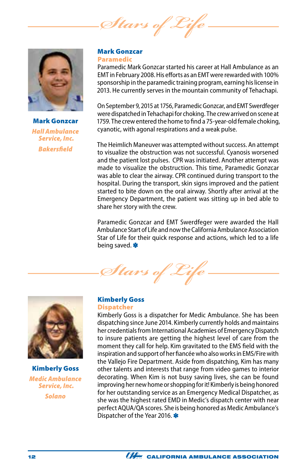Stars of



Mark Gonzcar *Hall Ambulance Service, Inc. Bakersfield*

#### Mark Gonzcar Paramedic

Paramedic Mark Gonzcar started his career at Hall Ambulance as an EMT in February 2008. His efforts as an EMT were rewarded with 100% sponsorship in the paramedic training program, earning his license in 2013. He currently serves in the mountain community of Tehachapi.

On September 9, 2015 at 1756, Paramedic Gonzcar, and EMT Swerdfeger were dispatched in Tehachapi for choking. The crew arrived on scene at 1759. The crew entered the home to find a 75-year-old female choking, cyanotic, with agonal respirations and a weak pulse.

The Heimlich Maneuver was attempted without success. An attempt to visualize the obstruction was not successful. Cyanosis worsened and the patient lost pulses. CPR was initiated. Another attempt was made to visualize the obstruction. This time, Paramedic Gonzcar was able to clear the airway. CPR continued during transport to the hospital. During the transport, skin signs improved and the patient started to bite down on the oral airway. Shortly after arrival at the Emergency Department, the patient was sitting up in bed able to share her story with the crew.

Paramedic Gonzcar and EMT Swerdfeger were awarded the Hall Ambulance Start of Life and now the California Ambulance Association Star of Life for their quick response and actions, which led to a life being saved.

Stars of L



Kimberly Goss *Medic Ambulance Service, Inc. Solano*

#### Kimberly Goss **Dispatcher**

Kimberly Goss is a dispatcher for Medic Ambulance. She has been dispatching since June 2014. Kimberly currently holds and maintains her credentials from International Academies of Emergency Dispatch to insure patients are getting the highest level of care from the moment they call for help. Kim gravitated to the EMS field with the inspiration and support of her fiancée who also works in EMS/Fire with the Vallejo Fire Department. Aside from dispatching, Kim has many other talents and interests that range from video games to interior decorating. When Kim is not busy saving lives, she can be found improving her new home or shopping for it! Kimberly is being honored for her outstanding service as an Emergency Medical Dispatcher, as she was the highest rated EMD in Medic's dispatch center with near perfect AQUA/QA scores. She is being honored as Medic Ambulance's Dispatcher of the Year 2016.

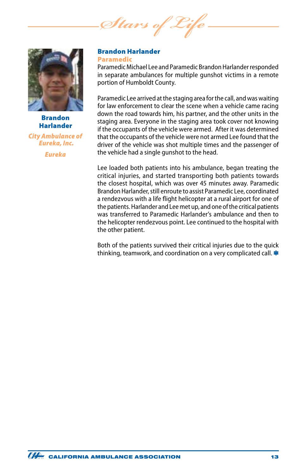*Stars of Life*



Brandon Harlander

*City Ambulance of Eureka, Inc.*

*Eureka*

#### Brandon Harlander Paramedic

Paramedic Michael Lee and Paramedic Brandon Harlander responded in separate ambulances for multiple gunshot victims in a remote portion of Humboldt County.

Paramedic Lee arrived at the staging area for the call, and was waiting for law enforcement to clear the scene when a vehicle came racing down the road towards him, his partner, and the other units in the staging area. Everyone in the staging area took cover not knowing if the occupants of the vehicle were armed. After it was determined that the occupants of the vehicle were not armed Lee found that the driver of the vehicle was shot multiple times and the passenger of the vehicle had a single gunshot to the head.

Lee loaded both patients into his ambulance, began treating the critical injuries, and started transporting both patients towards the closest hospital, which was over 45 minutes away. Paramedic Brandon Harlander, still enroute to assist Paramedic Lee, coordinated a rendezvous with a life flight helicopter at a rural airport for one of the patients. Harlander and Lee met up, and one of the critical patients was transferred to Paramedic Harlander's ambulance and then to the helicopter rendezvous point. Lee continued to the hospital with the other patient.

Both of the patients survived their critical injuries due to the quick thinking, teamwork, and coordination on a very complicated call. \*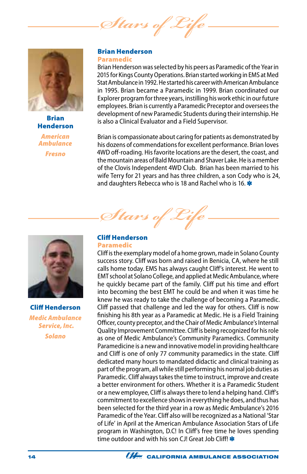*Stars of Life*



Brian Henderson

*American Ambulance*

*Fresno*

#### Brian Henderson Paramedic

Brian Henderson was selected by his peers as Paramedic of the Year in 2015 for Kings County Operations. Brian started working in EMS at Med Stat Ambulance in 1992. He started his career with American Ambulance in 1995. Brian became a Paramedic in 1999. Brian coordinated our Explorer program for three years, instilling his work ethic in our future employees. Brian is currently a Paramedic Preceptor and oversees the development of new Paramedic Students during their internship. He is also a Clinical Evaluator and a Field Supervisor.

Brian is compassionate about caring for patients as demonstrated by his dozens of commendations for excellent performance. Brian loves 4WD off-roading. His favorite locations are the desert, the coast, and the mountain areas of Bald Mountain and Shaver Lake. He is a member of the Clovis Independent 4WD Club. Brian has been married to his wife Terry for 21 years and has three children, a son Cody who is 24, and daughters Rebecca who is 18 and Rachel who is 16.



Cliff Henderson *Medic Ambulance Service, Inc. Solano*

#### Cliff Henderson Paramedic

*Stars of Life*

# Cliff is the exemplary model of a home grown, made in Solano County success story. Cliff was born and raised in Benicia, CA, where he still

calls home today. EMS has always caught Cliff's interest. He went to EMT school at Solano College, and applied at Medic Ambulance, where he quickly became part of the family. Cliff put his time and effort into becoming the best EMT he could be and when it was time he knew he was ready to take the challenge of becoming a Paramedic. Cliff passed that challenge and led the way for others. Cliff is now finishing his 8th year as a Paramedic at Medic. He is a Field Training Officer, county preceptor, and the Chair of Medic Ambulance's Internal Quality Improvement Committee. Cliff is being recognized for his role as one of Medic Ambulance's Community Paramedics. Community Paramedicine is a new and innovative model in providing healthcare and Cliff is one of only 77 community paramedics in the state. Cliff dedicated many hours to mandated didactic and clinical training as part of the program, all while still performing his normal job duties as Paramedic. Cliff always takes the time to instruct, improve and create a better environment for others. Whether it is a Paramedic Student or a new employee, Cliff is always there to lend a helping hand. Cliff's commitment to excellence shows in everything he does, and thus has been selected for the third year in a row as Medic Ambulance's 2016 Paramedic of the Year. Cliff also will be recognized as a National 'Star of Life' in April at the American Ambulance Association Stars of Life program in Washington, D.C! In Cliff's free time he loves spending time outdoor and with his son CJ! Great Job Cliff!

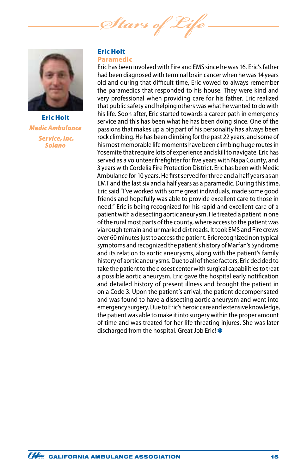*Stars of Life*



Eric Holt *Medic Ambulance Service, Inc. Solano*

#### Eric Holt Paramedic

Eric has been involved with Fire and EMS since he was 16. Eric's father had been diagnosed with terminal brain cancer when he was 14 years old and during that difficult time, Eric vowed to always remember the paramedics that responded to his house. They were kind and very professional when providing care for his father. Eric realized that public safety and helping others was what he wanted to do with his life. Soon after, Eric started towards a career path in emergency service and this has been what he has been doing since. One of the passions that makes up a big part of his personality has always been rock climbing. He has been climbing for the past 22 years, and some of his most memorable life moments have been climbing huge routes in Yosemite that require lots of experience and skill to navigate. Eric has served as a volunteer firefighter for five years with Napa County, and 3 years with Cordelia Fire Protection District. Eric has been with Medic Ambulance for 10 years. He first served for three and a half years as an EMT and the last six and a half years as a paramedic. During this time, Eric said "I've worked with some great individuals, made some good friends and hopefully was able to provide excellent care to those in need." Eric is being recognized for his rapid and excellent care of a patient with a dissecting aortic aneurysm. He treated a patient in one of the rural most parts of the county, where access to the patient was via rough terrain and unmarked dirt roads. It took EMS and Fire crews over 60 minutes just to access the patient. Eric recognized non typical symptoms and recognized the patient's history of Marfan's Syndrome and its relation to aortic aneurysms, along with the patient's family history of aortic aneurysms. Due to all of these factors, Eric decided to take the patient to the closest center with surgical capabilities to treat a possible aortic aneurysm. Eric gave the hospital early notification and detailed history of present illness and brought the patient in on a Code 3. Upon the patient's arrival, the patient decompensated and was found to have a dissecting aortic aneurysm and went into emergency surgery. Due to Eric's heroic care and extensive knowledge, the patient was able to make it into surgery within the proper amount of time and was treated for her life threating injures. She was later discharged from the hospital. Great Job Eric!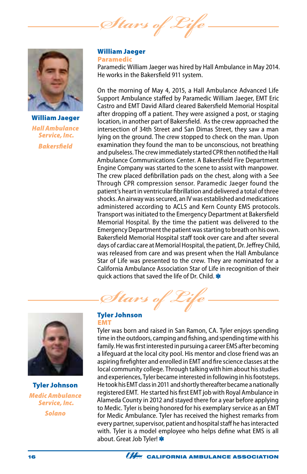*Stars of Life*



William Jaeger *Hall Ambulance Service, Inc. Bakersfield*

William Jaeger Paramedic

Paramedic William Jaeger was hired by Hall Ambulance in May 2014. He works in the Bakersfield 911 system.

On the morning of May 4, 2015, a Hall Ambulance Advanced Life Support Ambulance staffed by Paramedic William Jaeger, EMT Eric Castro and EMT David Allard cleared Bakersfield Memorial Hospital after dropping off a patient. They were assigned a post, or staging location, in another part of Bakersfield. As the crew approached the intersection of 34th Street and San Dimas Street, they saw a man lying on the ground. The crew stopped to check on the man. Upon examination they found the man to be unconscious, not breathing and pulseless. The crew immediately started CPR then notified the Hall Ambulance Communications Center. A Bakersfield Fire Department Engine Company was started to the scene to assist with manpower. The crew placed defibrillation pads on the chest, along with a See Through CPR compression sensor. Paramedic Jaeger found the patient's heart in ventricular fibrillation and delivered a total of three shocks. An airway was secured, an IV was established and medications administered according to ACLS and Kern County EMS protocols. Transport was initiated to the Emergency Department at Bakersfield Memorial Hospital. By the time the patient was delivered to the Emergency Department the patient was starting to breath on his own. Bakersfield Memorial Hospital staff took over care and after several days of cardiac care at Memorial Hospital, the patient, Dr. Jeffrey Child, was released from care and was present when the Hall Ambulance Star of Life was presented to the crew. They are nominated for a California Ambulance Association Star of Life in recognition of their quick actions that saved the life of Dr. Child.



Tyler Johnson *Medic Ambulance Service, Inc. Solano*

# *Stars of Life* Tyler Johnson

#### EMT

Tyler was born and raised in San Ramon, CA. Tyler enjoys spending time in the outdoors, camping and fishing, and spending time with his family. He was first interested in pursuing a career EMS after becoming a lifeguard at the local city pool. His mentor and close friend was an aspiring firefighter and enrolled in EMT and fire science classes at the local community college. Through talking with him about his studies and experiences, Tyler became interested in following in his footsteps. He took his EMT class in 2011 and shortly thereafter became a nationally registered EMT. He started his first EMT job with Royal Ambulance in Alameda County in 2012 and stayed there for a year before applying to Medic. Tyler is being honored for his exemplary service as an EMT for Medic Ambulance. Tyler has received the highest remarks from every partner, supervisor, patient and hospital staff he has interacted with. Tyler is a model employee who helps define what EMS is all about. Great Job Tyler!

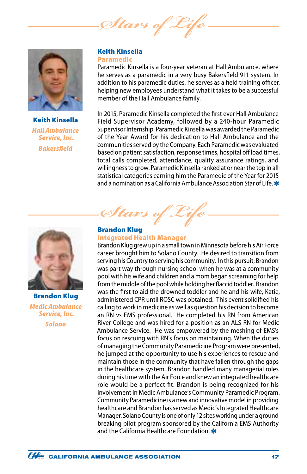*Stars of Life*



Keith Kinsella *Hall Ambulance Service, Inc. Bakersfield*

#### Keith Kinsella Paramedic

Paramedic Kinsella is a four-year veteran at Hall Ambulance, where he serves as a paramedic in a very busy Bakersfield 911 system. In addition to his paramedic duties, he serves as a field training officer, helping new employees understand what it takes to be a successful member of the Hall Ambulance family.

In 2015, Paramedic Kinsella completed the first ever Hall Ambulance Field Supervisor Academy, followed by a 240-hour Paramedic Supervisor Internship. Paramedic Kinsella was awarded the Paramedic of the Year Award for his dedication to Hall Ambulance and the communities served by the Company. Each Paramedic was evaluated based on patient satisfaction, response times, hospital off load times, total calls completed, attendance, quality assurance ratings, and willingness to grow. Paramedic Kinsella ranked at or near the top in all statistical categories earning him the Paramedic of the Year for 2015 and a nomination as a California Ambulance Association Star of Life.



Brandon Klug *Medic Ambulance Service, Inc. Solano*

Brandon Klug

Integrated Health Manager

*Stars of Life*

Brandon Klug grew up in a small town in Minnesota before his Air Force career brought him to Solano County. He desired to transition from serving his Country to serving his community. In this pursuit, Brandon was part way through nursing school when he was at a community pool with his wife and children and a mom began screaming for help from the middle of the pool while holding her flaccid toddler. Brandon was the first to aid the drowned toddler and he and his wife, Katie, administered CPR until ROSC was obtained. This event solidified his calling to work in medicine as well as question his decision to become an RN vs EMS professional. He completed his RN from American River College and was hired for a position as an ALS RN for Medic Ambulance Service. He was empowered by the meshing of EMS's focus on rescuing with RN's focus on maintaining. When the duties of managing the Community Paramedicine Program were presented, he jumped at the opportunity to use his experiences to rescue and maintain those in the community that have fallen through the gaps in the healthcare system. Brandon handled many managerial roles during his time with the Air Force and knew an integrated healthcare role would be a perfect fit. Brandon is being recognized for his involvement in Medic Ambulance's Community Paramedic Program. Community Paramedicine is a new and innovative model in providing healthcare and Brandon has served as Medic's Integrated Healthcare Manager. Solano County is one of only 12 sites working under a ground breaking pilot program sponsored by the California EMS Authority and the California Healthcare Foundation.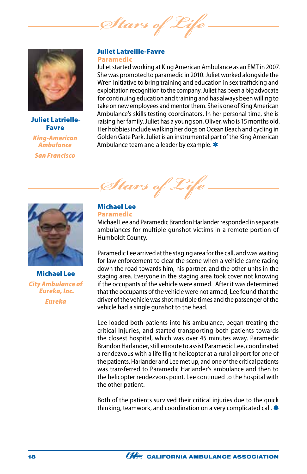*Stars of Life*



Juliet Latrielle-Favre

*King-American Ambulance San Francisco*

#### Juliet Latreille-Favre Paramedic

Juliet started working at King American Ambulance as an EMT in 2007. She was promoted to paramedic in 2010. Juliet worked alongside the Wren Initiative to bring training and education in sex trafficking and exploitation recognition to the company. Juliet has been a big advocate for continuing education and training and has always been willing to take on new employees and mentor them. She is one of King American Ambulance's skills testing coordinators. In her personal time, she is raising her family. Juliet has a young son, Oliver, who is 15 months old. Her hobbies include walking her dogs on Ocean Beach and cycling in Golden Gate Park. Juliet is an instrumental part of the King American Ambulance team and a leader by example.



Michael Lee *City Ambulance of Eureka, Inc. Eureka*

*Stars* 

#### Michael Lee Paramedic

Michael Lee and Paramedic Brandon Harlander responded in separate ambulances for multiple gunshot victims in a remote portion of Humboldt County.

Paramedic Lee arrived at the staging area for the call, and was waiting for law enforcement to clear the scene when a vehicle came racing down the road towards him, his partner, and the other units in the staging area. Everyone in the staging area took cover not knowing if the occupants of the vehicle were armed. After it was determined that the occupants of the vehicle were not armed, Lee found that the driver of the vehicle was shot multiple times and the passenger of the vehicle had a single gunshot to the head.

Lee loaded both patients into his ambulance, began treating the critical injuries, and started transporting both patients towards the closest hospital, which was over 45 minutes away. Paramedic Brandon Harlander, still enroute to assist Paramedic Lee, coordinated a rendezvous with a life flight helicopter at a rural airport for one of the patients. Harlander and Lee met up, and one of the critical patients was transferred to Paramedic Harlander's ambulance and then to the helicopter rendezvous point. Lee continued to the hospital with the other patient.

Both of the patients survived their critical injuries due to the quick thinking, teamwork, and coordination on a very complicated call. \*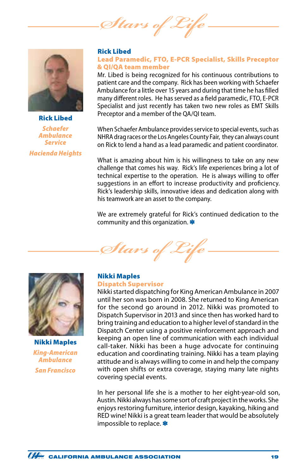Stars of 2



#### Rick Libed

*Schaefer Ambulance Service Hacienda Heights*

#### Rick Libed

#### Lead Paramedic, FTO, E-PCR Specialist, Skills Preceptor & QI/QA team member

Mr. Libed is being recognized for his continuous contributions to patient care and the company. Rick has been working with Schaefer Ambulance for a little over 15 years and during that time he has filled many different roles. He has served as a field paramedic, FTO, E-PCR Specialist and just recently has taken two new roles as EMT Skills Preceptor and a member of the QA/QI team.

When Schaefer Ambulance provides service to special events, such as NHRA drag races or the Los Angeles County Fair, they can always count on Rick to lend a hand as a lead paramedic and patient coordinator.

What is amazing about him is his willingness to take on any new challenge that comes his way. Rick's life experiences bring a lot of technical expertise to the operation. He is always willing to offer suggestions in an effort to increase productivity and proficiency. Rick's leadership skills, innovative ideas and dedication along with his teamwork are an asset to the company.

We are extremely grateful for Rick's continued dedication to the community and this organization.





Nikki Maples *King-American Ambulance San Francisco*

#### Nikki Maples Dispatch Supervisor

Nikki started dispatching for King American Ambulance in 2007 until her son was born in 2008. She returned to King American for the second go around in 2012. Nikki was promoted to Dispatch Supervisor in 2013 and since then has worked hard to bring training and education to a higher level of standard in the Dispatch Center using a positive reinforcement approach and keeping an open line of communication with each individual call-taker. Nikki has been a huge advocate for continuing education and coordinating training. Nikki has a team playing attitude and is always willing to come in and help the company with open shifts or extra coverage, staying many late nights covering special events.

In her personal life she is a mother to her eight-year-old son, Austin. Nikki always has some sort of craft project in the works. She enjoys restoring furniture, interior design, kayaking, hiking and RED wine! Nikki is a great team leader that would be absolutely impossible to replace.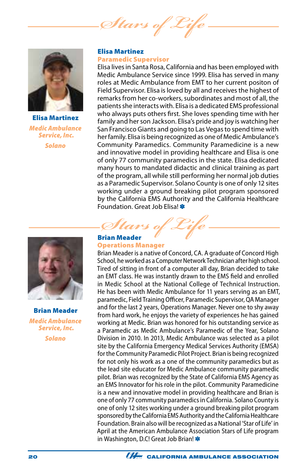*Stars of Life*



Elisa Martinez *Medic Ambulance Service, Inc. Solano*

#### Elisa Martinez Paramedic Supervisor

Elisa lives in Santa Rosa, California and has been employed with Medic Ambulance Service since 1999. Elisa has served in many roles at Medic Ambulance from EMT to her current positon of Field Supervisor. Elisa is loved by all and receives the highest of remarks from her co-workers, subordinates and most of all, the patients she interacts with. Elisa is a dedicated EMS professional who always puts others first. She loves spending time with her family and her son Jackson. Elisa's pride and joy is watching her San Francisco Giants and going to Las Vegas to spend time with her family. Elisa is being recognized as one of Medic Ambulance's Community Paramedics. Community Paramedicine is a new and innovative model in providing healthcare and Elisa is one of only 77 community paramedics in the state. Elisa dedicated many hours to mandated didactic and clinical training as part of the program, all while still performing her normal job duties as a Paramedic Supervisor. Solano County is one of only 12 sites working under a ground breaking pilot program sponsored by the California EMS Authority and the California Healthcare Foundation. Great Job Elisa! \*



Brian Meader *Medic Ambulance Service, Inc.*

*Solano*

# *Stars of Life* Brian Meader

#### Operations Manager

Brian Meader is a native of Concord, CA. A graduate of Concord High School, he worked as a Computer Network Technician after high school. Tired of sitting in front of a computer all day, Brian decided to take an EMT class. He was instantly drawn to the EMS field and enrolled in Medic School at the National College of Technical Instruction. He has been with Medic Ambulance for 11 years serving as an EMT, paramedic, Field Training Officer, Paramedic Supervisor, QA Manager and for the last 2 years, Operations Manager. Never one to shy away from hard work, he enjoys the variety of experiences he has gained working at Medic. Brian was honored for his outstanding service as a Paramedic as Medic Ambulance's Paramedic of the Year, Solano Division in 2010. In 2013, Medic Ambulance was selected as a pilot site by the California Emergency Medical Services Authority (EMSA) for the Community Paramedic Pilot Project. Brian is being recognized for not only his work as a one of the community paramedics but as the lead site educator for Medic Ambulance community paramedic pilot. Brian was recognized by the State of California EMS Agency as an EMS Innovator for his role in the pilot. Community Paramedicine is a new and innovative model in providing healthcare and Brian is one of only 77 community paramedics in California. Solano County is one of only 12 sites working under a ground breaking pilot program sponsored by the California EMS Authority and the California Healthcare Foundation. Brain also will be recognized as a National 'Star of Life' in April at the American Ambulance Association Stars of Life program in Washington, D.C! Great Job Brian! \*

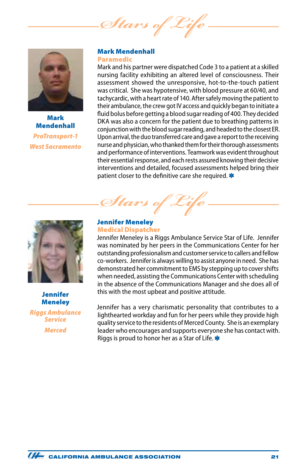*Stars of* 



Mark **Mendenhall** *ProTransport-1 West Sacramento*

#### Mark Mendenhall Paramedic

Mark and his partner were dispatched Code 3 to a patient at a skilled nursing facility exhibiting an altered level of consciousness. Their assessment showed the unresponsive, hot-to-the-touch patient was critical. She was hypotensive, with blood pressure at 60/40, and tachycardic, with a heart rate of 140. After safely moving the patient to their ambulance, the crew got IV access and quickly began to initiate a fluid bolus before getting a blood sugar reading of 400. They decided DKA was also a concern for the patient due to breathing patterns in conjunction with the blood sugar reading, and headed to the closest ER. Upon arrival, the duo transferred care and gave a report to the receiving nurse and physician, who thanked them for their thorough assessments and performance of interventions. Teamwork was evident throughout their essential response, and each rests assured knowing their decisive interventions and detailed, focused assessments helped bring their patient closer to the definitive care she required. \*



Jennifer **Meneley** 

*Riggs Ambulance Service Merced*

*Stars of Life*

#### Jennifer Meneley Medical Dispatcher

Jennifer Meneley is a Riggs Ambulance Service Star of Life. Jennifer was nominated by her peers in the Communications Center for her outstanding professionalism and customer service to callers and fellow co-workers. Jennifer is always willing to assist anyone in need. She has demonstrated her commitment to EMS by stepping up to cover shifts when needed, assisting the Communications Center with scheduling in the absence of the Communications Manager and she does all of this with the most upbeat and positive attitude.

Jennifer has a very charismatic personality that contributes to a lighthearted workday and fun for her peers while they provide high quality service to the residents of Merced County. She is an exemplary leader who encourages and supports everyone she has contact with. Riggs is proud to honor her as a Star of Life.

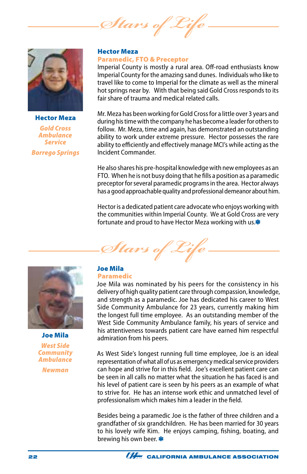*Stars of Life*



Hector Meza *Gold Cross Ambulance Service Borrego Springs*

#### Hector Meza Paramedic, FTO & Preceptor

Imperial County is mostly a rural area. Off-road enthusiasts know Imperial County for the amazing sand dunes. Individuals who like to travel like to come to Imperial for the climate as well as the mineral hot springs near by. With that being said Gold Cross responds to its fair share of trauma and medical related calls.

Mr. Meza has been working for Gold Cross for a little over 3 years and during his time with the company he has become a leader for others to follow. Mr. Meza, time and again, has demonstrated an outstanding ability to work under extreme pressure. Hector possesses the rare ability to efficiently and effectively manage MCI's while acting as the Incident Commander.

He also shares his pre-hospital knowledge with new employees as an FTO. When he is not busy doing that he fills a position as a paramedic preceptor for several paramedic programs in the area. Hector always has a good approachable quality and professional demeanor about him.

Hector is a dedicated patient care advocate who enjoys working with the communities within Imperial County. We at Gold Cross are very fortunate and proud to have Hector Meza working with us.\*





Joe Mila *West Side Community Ambulance Newman*

# Joe Mila

### Paramedic

Joe Mila was nominated by his peers for the consistency in his delivery of high quality patient care through compassion, knowledge, and strength as a paramedic. Joe has dedicated his career to West Side Community Ambulance for 23 years, currently making him the longest full time employee. As an outstanding member of the West Side Community Ambulance family, his years of service and his attentiveness towards patient care have earned him respectful admiration from his peers.

As West Side's longest running full time employee, Joe is an ideal representation of what all of us as emergency medical service providers can hope and strive for in this field. Joe's excellent patient care can be seen in all calls no matter what the situation he has faced is and his level of patient care is seen by his peers as an example of what to strive for. He has an intense work ethic and unmatched level of professionalism which makes him a leader in the field.

Besides being a paramedic Joe is the father of three children and a grandfather of six grandchildren. He has been married for 30 years to his lovely wife Kim. He enjoys camping, fishing, boating, and brewing his own beer.

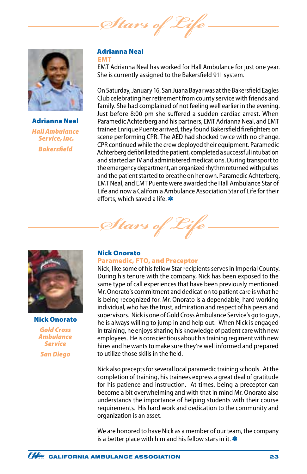Stars of 2



Adrianna Neal *Hall Ambulance Service, Inc. Bakersfield*

#### Adrianna Neal EMT

EMT Adrianna Neal has worked for Hall Ambulance for just one year. She is currently assigned to the Bakersfield 911 system.

On Saturday, January 16, San Juana Bayar was at the Bakersfield Eagles Club celebrating her retirement from county service with friends and family. She had complained of not feeling well earlier in the evening. Just before 8:00 pm she suffered a sudden cardiac arrest. When Paramedic Achterberg and his partners, EMT Adrianna Neal, and EMT trainee Enrique Puente arrived, they found Bakersfield firefighters on scene performing CPR. The AED had shocked twice with no change. CPR continued while the crew deployed their equipment. Paramedic Achterberg defibrillated the patient, completed a successful intubation and started an IV and administered medications. During transport to the emergency department, an organized rhythm returned with pulses and the patient started to breathe on her own. Paramedic Achterberg, EMT Neal, and EMT Puente were awarded the Hall Ambulance Star of Life and now a California Ambulance Association Star of Life for their efforts, which saved a life. \*



Nick Onorato *Gold Cross Ambulance Service San Diego*

#### Nick Onorato

*Stars of* 

#### Paramedic, FTO, and Preceptor

Nick, like some of his fellow Star recipients serves in Imperial County. During his tenure with the company, Nick has been exposed to the same type of call experiences that have been previously mentioned. Mr. Onorato's commitment and dedication to patient care is what he is being recognized for. Mr. Onorato is a dependable, hard working individual, who has the trust, admiration and respect of his peers and supervisors. Nick is one of Gold Cross Ambulance Service's go to guys, he is always willing to jump in and help out. When Nick is engaged in training, he enjoys sharing his knowledge of patient care with new employees. He is conscientious about his training regiment with new hires and he wants to make sure they're well informed and prepared to utilize those skills in the field.

Nick also precepts for several local paramedic training schools. At the completion of training, his trainees express a great deal of gratitude for his patience and instruction. At times, being a preceptor can become a bit overwhelming and with that in mind Mr. Onorato also understands the importance of helping students with their course requirements. His hard work and dedication to the community and organization is an asset.

We are honored to have Nick as a member of our team, the company is a better place with him and his fellow stars in it.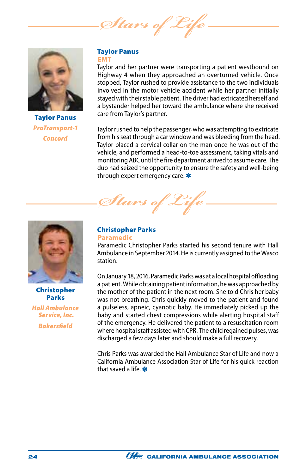Stars of



Taylor Panus *ProTransport-1 Concord*

#### Taylor Panus EMT

Taylor and her partner were transporting a patient westbound on Highway 4 when they approached an overturned vehicle. Once stopped, Taylor rushed to provide assistance to the two individuals involved in the motor vehicle accident while her partner initially stayed with their stable patient. The driver had extricated herself and a bystander helped her toward the ambulance where she received care from Taylor's partner.

Taylor rushed to help the passenger, who was attempting to extricate from his seat through a car window and was bleeding from the head. Taylor placed a cervical collar on the man once he was out of the vehicle, and performed a head-to-toe assessment, taking vitals and monitoring ABC until the fire department arrived to assume care. The duo had seized the opportunity to ensure the safety and well-being through expert emergency care.

Stars of L



Christopher Parks *Hall Ambulance Service, Inc.*

*Bakersfield*

Christopher Parks Paramedic

Paramedic Christopher Parks started his second tenure with Hall Ambulance in September 2014. He is currently assigned to the Wasco station.

On January 18, 2016, Paramedic Parks was at a local hospital offloading a patient. While obtaining patient information, he was approached by the mother of the patient in the next room. She told Chris her baby was not breathing. Chris quickly moved to the patient and found a pulseless, apneic, cyanotic baby. He immediately picked up the baby and started chest compressions while alerting hospital staff of the emergency. He delivered the patient to a resuscitation room where hospital staff assisted with CPR. The child regained pulses, was discharged a few days later and should make a full recovery.

Chris Parks was awarded the Hall Ambulance Star of Life and now a California Ambulance Association Star of Life for his quick reaction that saved a life.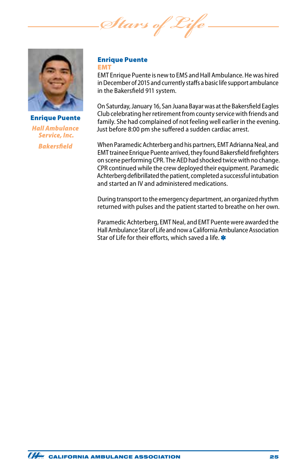*Stars of Life*



Enrique Puente *Hall Ambulance Service, Inc. Bakersfield*

#### Enrique Puente EMT

EMT Enrique Puente is new to EMS and Hall Ambulance. He was hired in December of 2015 and currently staffs a basic life support ambulance in the Bakersfield 911 system.

On Saturday, January 16, San Juana Bayar was at the Bakersfield Eagles Club celebrating her retirement from county service with friends and family. She had complained of not feeling well earlier in the evening. Just before 8:00 pm she suffered a sudden cardiac arrest.

When Paramedic Achterberg and his partners, EMT Adrianna Neal, and EMT trainee Enrique Puente arrived, they found Bakersfield firefighters on scene performing CPR. The AED had shocked twice with no change. CPR continued while the crew deployed their equipment. Paramedic Achterberg defibrillated the patient, completed a successful intubation and started an IV and administered medications.

During transport to the emergency department, an organized rhythm returned with pulses and the patient started to breathe on her own.

Paramedic Achterberg, EMT Neal, and EMT Puente were awarded the Hall Ambulance Star of Life and now a California Ambulance Association Star of Life for their efforts, which saved a life.

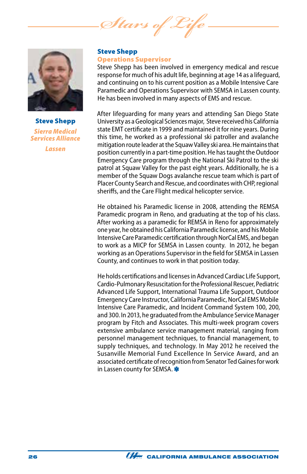*Stars of* 



Steve Shepp *Sierra Medical Services Alliance Lassen*

#### Steve Shepp Operations Supervisor

Steve Shepp has been involved in emergency medical and rescue response for much of his adult life, beginning at age 14 as a lifeguard, and continuing on to his current position as a Mobile Intensive Care Paramedic and Operations Supervisor with SEMSA in Lassen county. He has been involved in many aspects of EMS and rescue.

After lifeguarding for many years and attending San Diego State University as a Geological Sciences major, Steve received his California state EMT certificate in 1999 and maintained it for nine years. During this time, he worked as a professional ski patroller and avalanche mitigation route leader at the Squaw Valley ski area. He maintains that position currently in a part-time position. He has taught the Outdoor Emergency Care program through the National Ski Patrol to the ski patrol at Squaw Valley for the past eight years. Additionally, he is a member of the Squaw Dogs avalanche rescue team which is part of Placer County Search and Rescue, and coordinates with CHP, regional sheriffs, and the Care Flight medical helicopter service.

He obtained his Paramedic license in 2008, attending the REMSA Paramedic program in Reno, and graduating at the top of his class. After working as a paramedic for REMSA in Reno for approximately one year, he obtained his California Paramedic license, and his Mobile Intensive Care Paramedic certification through NorCal EMS, and began to work as a MICP for SEMSA in Lassen county. In 2012, he began working as an Operations Supervisor in the field for SEMSA in Lassen County, and continues to work in that position today.

He holds certifications and licenses in Advanced Cardiac Life Support, Cardio-Pulmonary Resuscitation for the Professional Rescuer, Pediatric Advanced Life Support, International Trauma Life Support, Outdoor Emergency Care Instructor, California Paramedic, NorCal EMS Mobile Intensive Care Paramedic, and Incident Command System 100, 200, and 300. In 2013, he graduated from the Ambulance Service Manager program by Fitch and Associates. This multi-week program covers extensive ambulance service management material, ranging from personnel management techniques, to financial management, to supply techniques, and technology. In May 2012 he received the Susanville Memorial Fund Excellence In Service Award, and an associated certificate of recognition from Senator Ted Gaines for work in Lassen county for SEMSA.

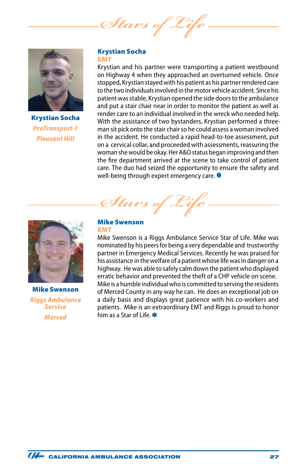Stars of



Krystian Socha *ProTransport-1 Pleasant Hill*

#### Krystian Socha EMT

Krystian and his partner were transporting a patient westbound on Highway 4 when they approached an overturned vehicle. Once stopped, Krystian stayed with his patient as his partner rendered care to the two individuals involved in the motor vehicle accident. Since his patient was stable, Krystian opened the side doors to the ambulance and put a stair chair near in order to monitor the patient as well as render care to an individual involved in the wreck who needed help. With the assistance of two bystanders, Krystian performed a threeman sit pick onto the stair chair so he could assess a woman involved in the accident. He conducted a rapid head-to-toe assessment, put on a cervical collar, and proceeded with assessments, reassuring the woman she would be okay. Her A&O status began improving and then the fire department arrived at the scene to take control of patient care. The duo had seized the opportunity to ensure the safety and well-being through expert emergency care.

*Stars of Life*



Mike Swenson *Riggs Ambulance Service Merced*

#### Mike Swenson EMT

Mike Swenson is a Riggs Ambulance Service Star of Life. Mike was nominated by his peers for being a very dependable and trustworthy partner in Emergency Medical Services. Recently he was praised for his assistance in the welfare of a patient whose life was in danger on a highway. He was able to safely calm down the patient who displayed erratic behavior and prevented the theft of a CHP vehicle on scene. Mike is a humble individual who is committed to serving the residents of Merced County in any way he can. He does an exceptional job on a daily basis and displays great patience with his co-workers and patients. Mike is an extraordinary EMT and Riggs is proud to honor him as a Star of Life.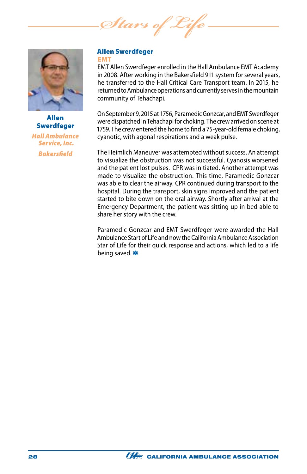*Stars of* 



Allen Swerdfeger *Hall Ambulance Service, Inc. Bakersfield*

#### Allen Swerdfeger EMT

EMT Allen Swerdfeger enrolled in the Hall Ambulance EMT Academy in 2008. After working in the Bakersfield 911 system for several years, he transferred to the Hall Critical Care Transport team. In 2015, he returned to Ambulance operations and currently serves in the mountain community of Tehachapi.

On September 9, 2015 at 1756, Paramedic Gonzcar, and EMT Swerdfeger were dispatched in Tehachapi for choking. The crew arrived on scene at 1759. The crew entered the home to find a 75-year-old female choking, cyanotic, with agonal respirations and a weak pulse.

The Heimlich Maneuver was attempted without success. An attempt to visualize the obstruction was not successful. Cyanosis worsened and the patient lost pulses. CPR was initiated. Another attempt was made to visualize the obstruction. This time, Paramedic Gonzcar was able to clear the airway. CPR continued during transport to the hospital. During the transport, skin signs improved and the patient started to bite down on the oral airway. Shortly after arrival at the Emergency Department, the patient was sitting up in bed able to share her story with the crew.

Paramedic Gonzcar and EMT Swerdfeger were awarded the Hall Ambulance Start of Life and now the California Ambulance Association Star of Life for their quick response and actions, which led to a life being saved.

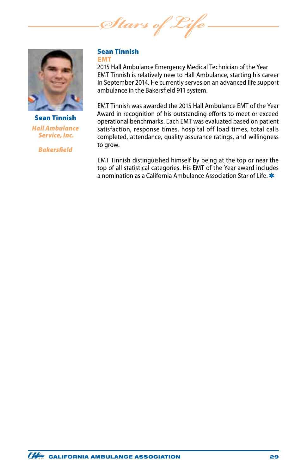*Stars of* 



Sean Tinnish *Hall Ambulance Service, Inc.*

*Bakersfield*

#### Sean Tinnish EMT

2015 Hall Ambulance Emergency Medical Technician of the Year EMT Tinnish is relatively new to Hall Ambulance, starting his career in September 2014. He currently serves on an advanced life support ambulance in the Bakersfield 911 system.

EMT Tinnish was awarded the 2015 Hall Ambulance EMT of the Year Award in recognition of his outstanding efforts to meet or exceed operational benchmarks. Each EMT was evaluated based on patient satisfaction, response times, hospital off load times, total calls completed, attendance, quality assurance ratings, and willingness to grow.

EMT Tinnish distinguished himself by being at the top or near the top of all statistical categories. His EMT of the Year award includes a nomination as a California Ambulance Association Star of Life.

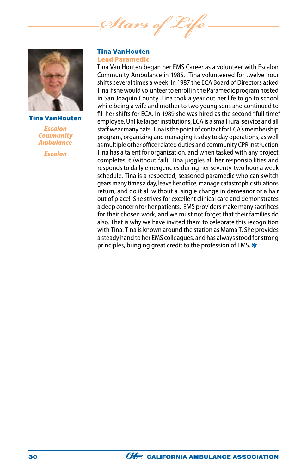*Stars of Life*



Tina VanHouten

*Escalon Community Ambulance*

*Escalon*

#### Tina VanHouten Lead Paramedic

Tina Van Houten began her EMS Career as a volunteer with Escalon Community Ambulance in 1985. Tina volunteered for twelve hour shifts several times a week. In 1987 the ECA Board of Directors asked Tina if she would volunteer to enroll in the Paramedic program hosted in San Joaquin County. Tina took a year out her life to go to school, while being a wife and mother to two young sons and continued to fill her shifts for ECA. In 1989 she was hired as the second "full time" employee. Unlike larger institutions, ECA is a small rural service and all staff wear many hats. Tina is the point of contact for ECA's membership program, organizing and managing its day to day operations, as well as multiple other office related duties and community CPR instruction. Tina has a talent for organization, and when tasked with any project, completes it (without fail). Tina juggles all her responsibilities and responds to daily emergencies during her seventy-two hour a week schedule. Tina is a respected, seasoned paramedic who can switch gears many times a day, leave her office, manage catastrophic situations, return, and do it all without a single change in demeanor or a hair out of place! She strives for excellent clinical care and demonstrates a deep concern for her patients. EMS providers make many sacrifices for their chosen work, and we must not forget that their families do also. That is why we have invited them to celebrate this recognition with Tina. Tina is known around the station as Mama T. She provides a steady hand to her EMS colleagues, and has always stood for strong principles, bringing great credit to the profession of EMS.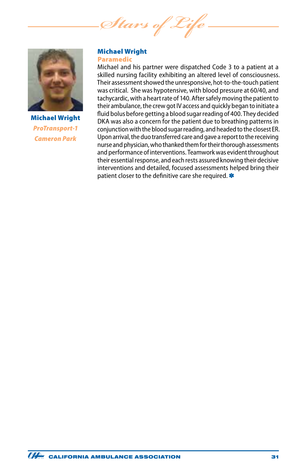*Stars of Life*



Michael Wright *ProTransport-1 Cameron Park*

#### Michael Wright Paramedic

Michael and his partner were dispatched Code 3 to a patient at a skilled nursing facility exhibiting an altered level of consciousness. Their assessment showed the unresponsive, hot-to-the-touch patient was critical. She was hypotensive, with blood pressure at 60/40, and tachycardic, with a heart rate of 140. After safely moving the patient to their ambulance, the crew got IV access and quickly began to initiate a fluid bolus before getting a blood sugar reading of 400. They decided DKA was also a concern for the patient due to breathing patterns in conjunction with the blood sugar reading, and headed to the closest ER. Upon arrival, the duo transferred care and gave a report to the receiving nurse and physician, who thanked them for their thorough assessments and performance of interventions. Teamwork was evident throughout their essential response, and each rests assured knowing their decisive interventions and detailed, focused assessments helped bring their patient closer to the definitive care she required. \*

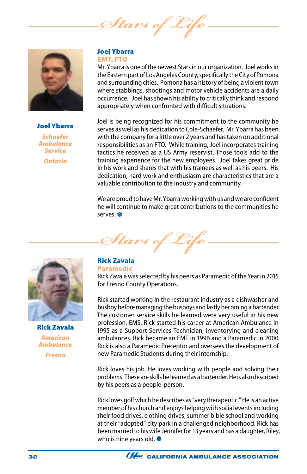*Stars of Life*



#### Joel Ybarra

*Schaefer Ambulance Service Ontario*

#### Joel Ybarra EMT, FTO

Mr. Ybarra is one of the newest Stars in our organization. Joel works in the Eastern part of Los Angeles County, specifically the City of Pomona and surrounding cities. Pomona has a history of being a violent town where stabbings, shootings and motor vehicle accidents are a daily occurrence. Joel has shown his ability to critically think and respond appropriately when confronted with difficult situations.

Joel is being recognized for his commitment to the community he serves as well as his dedication to Cole-Schaefer. Mr. Ybarra has been with the company for a little over 2 years and has taken on additional responsibilities as an FTO. While training, Joel incorporates training tactics he received as a US Army reservist. Those tools add to the training experience for the new employees. Joel takes great pride in his work and shares that with his trainees as well as his peers. His dedication, hard work and enthusiasm are characteristics that are a valuable contribution to the industry and community.

We are proud to have Mr. Ybarra working with us and we are confident he will continue to make great contributions to the communities he serves.

Stars of



Rick Zavala *American Ambulance Fresno*

#### Rick Zavala Paramedic

Rick Zavala was selected by his peers as Paramedic of the Year in 2015 for Fresno County Operations.

Rick started working in the restaurant industry as a dishwasher and busboy before managing the busboys and lastly becoming a bartender. The customer service skills he learned were very useful in his new profession, EMS. Rick started his career at American Ambulance in 1995 as a Support Services Technician, inventorying and cleaning ambulances. Rick became an EMT in 1996 and a Paramedic in 2000. Rick is also a Paramedic Preceptor and oversees the development of new Paramedic Students during their internship.

Rick loves his job. He loves working with people and solving their problems. These are skills he learned as a bartender. He is also described by his peers as a people-person.

Rick loves golf which he describes as "very therapeutic." He is an active member of his church and enjoys helping with social events including their food drives, clothing drives, summer bible school and working at their "adopted" city park in a challenged neighborhood. Rick has been married to his wife Jennifer for 13 years and has a daughter, Riley, who is nine years old.